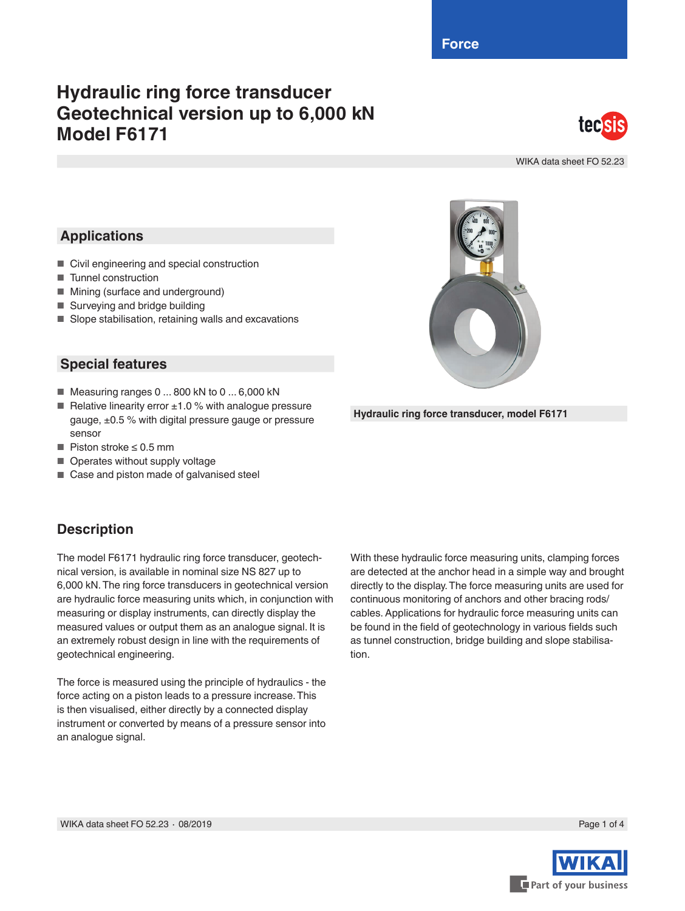**Force**

# **Hydraulic ring force transducer Geotechnical version up to 6,000 kN Model F6171**



WIKA data sheet FO 52.23

## **Applications**

- Civil engineering and special construction
- Tunnel construction
- Mining (surface and underground)
- Surveying and bridge building
- Slope stabilisation, retaining walls and excavations

#### **Special features**

- Measuring ranges 0 ... 800 kN to 0 ... 6,000 kN
- Relative linearity error  $±1.0$  % with analogue pressure gauge, ±0.5 % with digital pressure gauge or pressure sensor
- Piston stroke ≤ 0.5 mm
- Operates without supply voltage
- Case and piston made of galvanised steel

#### **Description**

The model F6171 hydraulic ring force transducer, geotechnical version, is available in nominal size NS 827 up to 6,000 kN. The ring force transducers in geotechnical version are hydraulic force measuring units which, in conjunction with measuring or display instruments, can directly display the measured values or output them as an analogue signal. It is an extremely robust design in line with the requirements of geotechnical engineering.

The force is measured using the principle of hydraulics - the force acting on a piston leads to a pressure increase. This is then visualised, either directly by a connected display instrument or converted by means of a pressure sensor into an analogue signal.

With these hydraulic force measuring units, clamping forces are detected at the anchor head in a simple way and brought directly to the display. The force measuring units are used for continuous monitoring of anchors and other bracing rods/ cables. Applications for hydraulic force measuring units can be found in the field of geotechnology in various fields such as tunnel construction, bridge building and slope stabilisation.



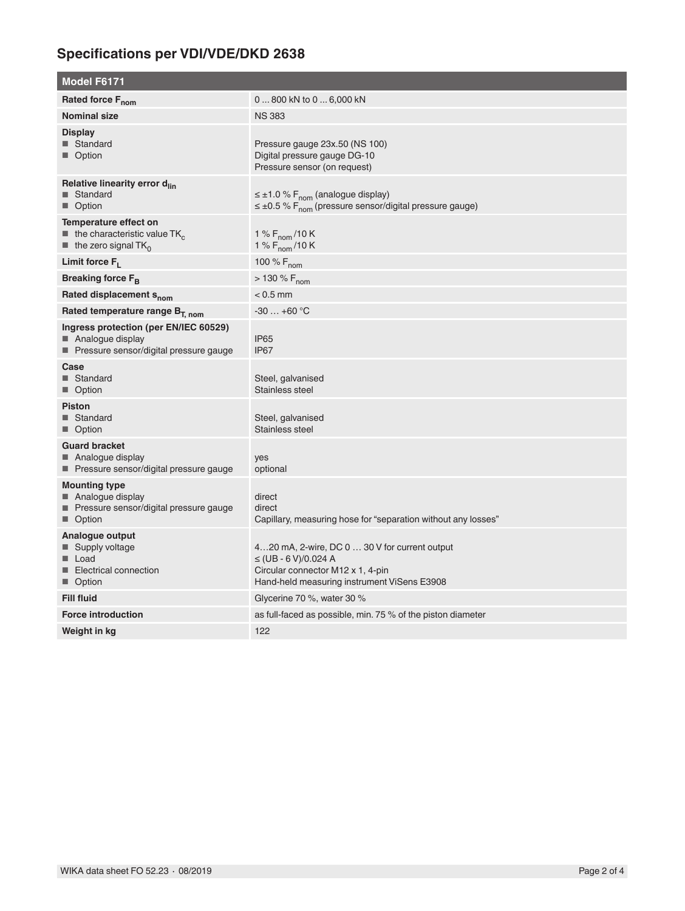# **Specifications per VDI/VDE/DKD 2638**

| <b>Model F6171</b>                                                                                                                 |                                                                                                                                                                |
|------------------------------------------------------------------------------------------------------------------------------------|----------------------------------------------------------------------------------------------------------------------------------------------------------------|
| Rated force F <sub>nom</sub>                                                                                                       | 0  800 kN to 0  6,000 kN                                                                                                                                       |
| <b>Nominal size</b>                                                                                                                | <b>NS 383</b>                                                                                                                                                  |
| <b>Display</b><br>■ Standard<br>■ Option                                                                                           | Pressure gauge 23x.50 (NS 100)<br>Digital pressure gauge DG-10<br>Pressure sensor (on request)                                                                 |
| Relative linearity error d <sub>lin</sub><br>■ Standard<br>■ Option                                                                | $\leq \pm 1.0$ % F <sub>nom</sub> (analogue display)<br>$\leq \pm 0.5$ % F <sub>nom</sub> (pressure sensor/digital pressure gauge)                             |
| Temperature effect on<br>$\blacksquare$ the characteristic value TK <sub>c</sub><br>$\blacksquare$ the zero signal TK <sub>0</sub> | 1 % $F_{\text{nom}}$ /10 K<br>1 % $F_{\text{nom}}$ /10 K                                                                                                       |
| Limit force $F_L$                                                                                                                  | 100 % $F_{nom}$                                                                                                                                                |
| Breaking force F <sub>B</sub>                                                                                                      | $> 130 \% F_{nom}$                                                                                                                                             |
| Rated displacement S <sub>nom</sub>                                                                                                | $< 0.5$ mm                                                                                                                                                     |
| Rated temperature range $B_{T, nom}$                                                                                               | $-30+60$ °C                                                                                                                                                    |
| Ingress protection (per EN/IEC 60529)<br>Analogue display<br>■ Pressure sensor/digital pressure gauge                              | IP <sub>65</sub><br>IP67                                                                                                                                       |
| Case<br>■ Standard<br>■ Option                                                                                                     | Steel, galvanised<br>Stainless steel                                                                                                                           |
| <b>Piston</b><br>■ Standard<br>■ Option                                                                                            | Steel, galvanised<br>Stainless steel                                                                                                                           |
| <b>Guard bracket</b><br>■ Analogue display<br>■ Pressure sensor/digital pressure gauge                                             | yes<br>optional                                                                                                                                                |
| <b>Mounting type</b><br>■ Analogue display<br>■ Pressure sensor/digital pressure gauge<br>■ Option                                 | direct<br>direct<br>Capillary, measuring hose for "separation without any losses"                                                                              |
| Analogue output<br>■ Supply voltage<br>■ Load<br>Electrical connection<br>■ Option                                                 | 420 mA, 2-wire, DC 0  30 V for current output<br>$\leq$ (UB - 6 V)/0.024 A<br>Circular connector M12 x 1, 4-pin<br>Hand-held measuring instrument ViSens E3908 |
| <b>Fill fluid</b>                                                                                                                  | Glycerine 70 %, water 30 %                                                                                                                                     |
| <b>Force introduction</b>                                                                                                          | as full-faced as possible, min. 75 % of the piston diameter                                                                                                    |
| Weight in kg                                                                                                                       | 122                                                                                                                                                            |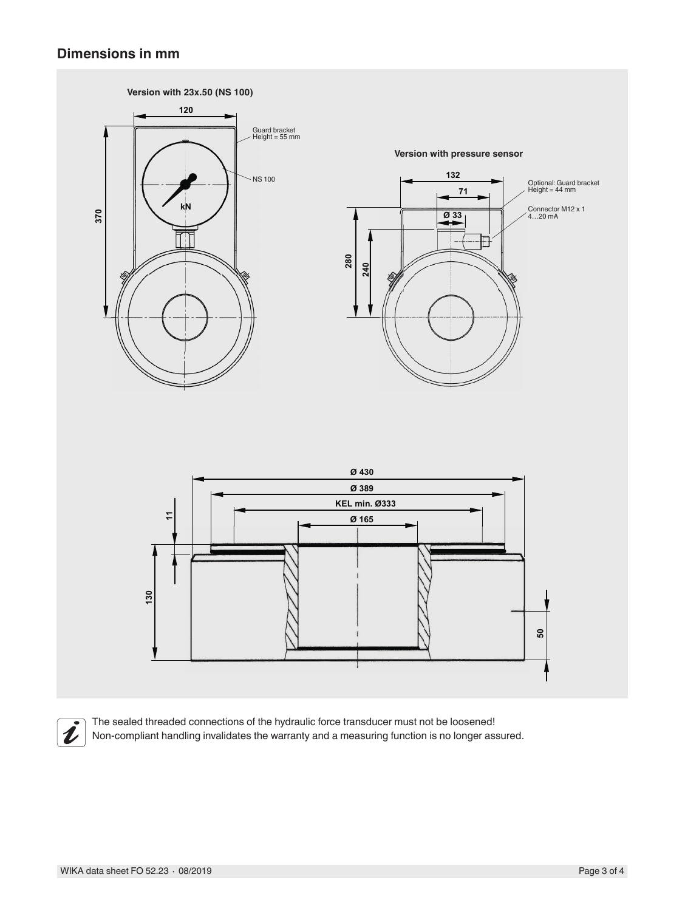#### **Dimensions in mm**





The sealed threaded connections of the hydraulic force transducer must not be loosened! Non-compliant handling invalidates the warranty and a measuring function is no longer assured.